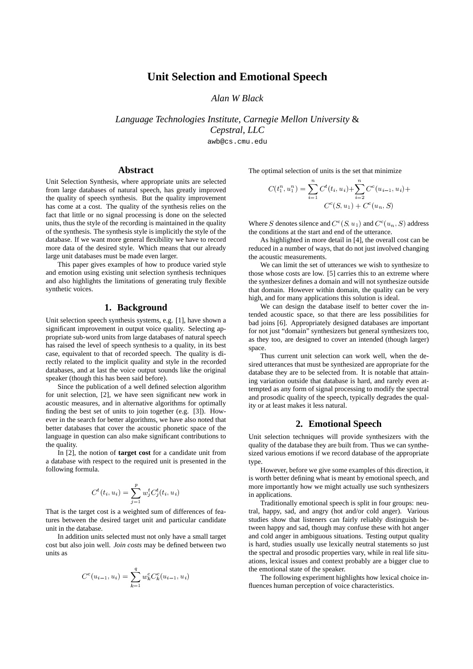# **Unit Selection and Emotional Speech**

*Alan W Black*

*Language Technologies Institute, Carnegie Mellon University* & *Cepstral, LLC*

awb@cs.cmu.edu

### **Abstract**

Unit Selection Synthesis, where appropriate units are selected from large databases of natural speech, has greatly improved the quality of speech synthesis. But the quality improvement has come at a cost. The quality of the synthesis relies on the fact that little or no signal processing is done on the selected units, thus the style of the recording is maintained in the quality of the synthesis. The synthesis style is implicitly the style of the database. If we want more general flexibility we have to record more data of the desired style. Which means that our already large unit databases must be made even larger.

This paper gives examples of how to produce varied style and emotion using existing unit selection synthesis techniques and also highlights the limitations of generating truly flexible synthetic voices.

#### **1. Background**

Unit selection speech synthesis systems, e.g. [1], have shown a significant improvement in output voice quality. Selecting appropriate sub-word units from large databases of natural speech has raised the level of speech synthesis to a quality, in its best case, equivalent to that of recorded speech. The quality is directly related to the implicit quality and style in the recorded databases, and at last the voice output sounds like the original speaker (though this has been said before).

Since the publication of a well defined selection algorithm for unit selection, [2], we have seen significant new work in acoustic measures, and in alternative algorithms for optimally finding the best set of units to join together (e.g. [3]). However in the search for better algorithms, we have also noted that better databases that cover the acoustic phonetic space of the language in question can also make significant contributions to the quality.

In [2], the notion of **target cost** for a candidate unit from a database with respect to the required unit is presented in the following formula.

$$
C^{t}(t_{i}, u_{i}) = \sum_{j=1}^{p} w_{j}^{t} C_{j}^{t}(t_{i}, u_{i})
$$

That is the target cost is a weighted sum of differences of features between the desired target unit and particular candidate unit in the database.

In addition units selected must not only have a small target cost but also join well. *Join costs* may be defined between two units as

$$
C^{c}(u_{i-1}, u_i) = \sum_{k=1}^{q} w_k^{c} C_k^{c}(u_{i-1}, u_i)
$$

The optimal selection of units is the set that minimize

$$
C(t_1^n, u_1^n) = \sum_{i=1}^n C^t(t_i, u_i) + \sum_{i=2}^n C^c(u_{i-1}, u_i) + C^c(s, u_1) + C^c(u_n, S)
$$

Where S denotes silence and  $C^c(S, u_1)$  and  $C^c(u_n, S)$  address the conditions at the start and end of the utterance.

As highlighted in more detail in [4], the overall cost can be reduced in a number of ways, that do not just involved changing the acoustic measurements.

We can limit the set of utterances we wish to synthesize to those whose costs are low. [5] carries this to an extreme where the synthesizer defines a domain and will not synthesize outside that domain. However within domain, the quality can be very high, and for many applications this solution is ideal.

We can design the database itself to better cover the intended acoustic space, so that there are less possibilities for bad joins [6]. Appropriately designed databases are important for not just "domain" synthesizers but general synthesizers too, as they too, are designed to cover an intended (though larger) space.

Thus current unit selection can work well, when the desired utterances that must be synthesized are appropriate for the database they are to be selected from. It is notable that attaining variation outside that database is hard, and rarely even attempted as any form of signal processing to modify the spectral and prosodic quality of the speech, typically degrades the quality or at least makes it less natural.

#### **2. Emotional Speech**

Unit selection techniques will provide synthesizers with the quality of the database they are built from. Thus we can synthesized various emotions if we record database of the appropriate type.

However, before we give some examples of this direction, it is worth better defining what is meant by emotional speech, and more importantly how we might actually use such synthesizers in applications.

Traditionally emotional speech is split in four groups: neutral, happy, sad, and angry (hot and/or cold anger). Various studies show that listeners can fairly reliably distinguish between happy and sad, though may confuse these with hot anger and cold anger in ambiguous situations. Testing output quality is hard, studies usually use lexically neutral statements so just the spectral and prosodic properties vary, while in real life situations, lexical issues and context probably are a bigger clue to the emotional state of the speaker.

The following experiment highlights how lexical choice influences human perception of voice characteristics.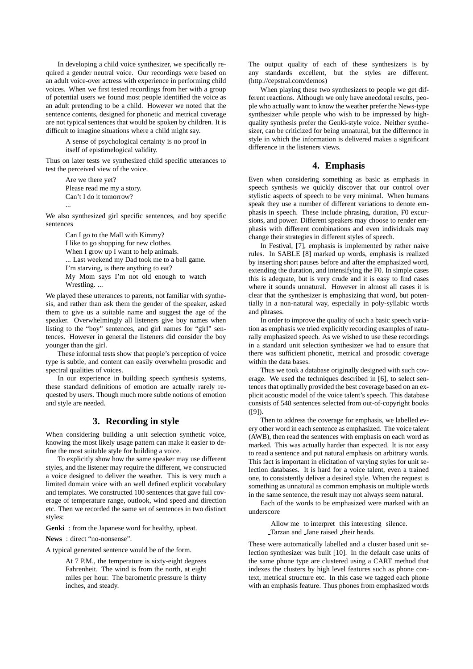In developing a child voice synthesizer, we specifically required a gender neutral voice. Our recordings were based on an adult voice-over actress with experience in performing child voices. When we first tested recordings from her with a group of potential users we found most people identified the voice as an adult pretending to be a child. However we noted that the sentence contents, designed for phonetic and metrical coverage are not typical sentences that would be spoken by children. It is difficult to imagine situations where a child might say.

> A sense of psychological certainty is no proof in itself of epistimelogical validity.

Thus on later tests we synthesized child specific utterances to test the perceived view of the voice.

> Are we there yet? Please read me my a story. Can't I do it tomorrow? ...

We also synthesized girl specific sentences, and boy specific sentences

> Can I go to the Mall with Kimmy? I like to go shopping for new clothes. When I grow up I want to help animals. ... Last weekend my Dad took me to a ball game. I'm starving, is there anything to eat? My Mom says I'm not old enough to watch Wrestling. ...

We played these utterances to parents, not familiar with synthesis, and rather than ask them the gender of the speaker, asked them to give us a suitable name and suggest the age of the speaker. Overwhelmingly all listeners give boy names when listing to the "boy" sentences, and girl names for "girl" sentences. However in general the listeners did consider the boy younger than the girl.

These informal tests show that people's perception of voice type is subtle, and content can easily overwhelm prosodic and spectral qualities of voices.

In our experience in building speech synthesis systems, these standard definitions of emotion are actually rarely requested by users. Though much more subtle notions of emotion and style are needed.

## **3. Recording in style**

When considering building a unit selection synthetic voice, knowing the most likely usage pattern can make it easier to define the most suitable style for building a voice.

To explicitly show how the same speaker may use different styles, and the listener may require the different, we constructed a voice designed to deliver the weather. This is very much a limited domain voice with an well defined explicit vocabulary and templates. We constructed 100 sentences that gave full coverage of temperature range, outlook, wind speed and direction etc. Then we recorded the same set of sentences in two distinct styles:

**Genki** : from the Japanese word for healthy, upbeat.

**News** : direct "no-nonsense".

A typical generated sentence would be of the form.

At 7 P.M., the temperature is sixty-eight degrees Fahrenheit. The wind is from the north, at eight miles per hour. The barometric pressure is thirty inches, and steady.

The output quality of each of these synthesizers is by any standards excellent, but the styles are different. (http://cepstral.com/demos)

When playing these two synthesizers to people we get different reactions. Although we only have anecdotal results, people who actually want to know the weather prefer the News-type synthesizer while people who wish to be impressed by highquality synthesis prefer the Genki-style voice. Neither synthesizer, can be criticized for being unnatural, but the difference in style in which the information is delivered makes a significant difference in the listeners views.

## **4. Emphasis**

Even when considering something as basic as emphasis in speech synthesis we quickly discover that our control over stylistic aspects of speech to be very minimal. When humans speak they use a number of different variations to denote emphasis in speech. These include phrasing, duration, F0 excursions, and power. Different speakers may choose to render emphasis with different combinations and even individuals may change their strategies in different styles of speech.

In Festival, [7], emphasis is implemented by rather naive rules. In SABLE [8] marked up words, emphasis is realized by inserting short pauses before and after the emphasized word, extending the duration, and intensifying the F0. In simple cases this is adequate, but is very crude and it is easy to find cases where it sounds unnatural. However in almost all cases it is clear that the synthesizer is emphasizing that word, but potentially in a non-natural way, especially in poly-syllabic words and phrases.

In order to improve the quality of such a basic speech variation as emphasis we tried explicitly recording examples of naturally emphasized speech. As we wished to use these recordings in a standard unit selection synthesizer we had to ensure that there was sufficient phonetic, metrical and prosodic coverage within the data bases.

Thus we took a database originally designed with such coverage. We used the techniques described in [6], to select sentences that optimally provided the best coverage based on an explicit acoustic model of the voice talent's speech. This database consists of 548 sentences selected from out-of-copyright books ([9]).

Then to address the coverage for emphasis, we labelled every other word in each sentence as emphasized. The voice talent (AWB), then read the sentences with emphasis on each word as marked. This was actually harder than expected. It is not easy to read a sentence and put natural emphasis on arbitrary words. This fact is important in elicitation of varying styles for unit selection databases. It is hard for a voice talent, even a trained one, to consistently deliver a desired style. When the request is something as unnatural as common emphasis on multiple words in the same sentence, the result may not always seem natural.

Each of the words to be emphasized were marked with an underscore

> Allow me to interpret this interesting silence. Tarzan and Jane raised their heads.

These were automatically labelled and a cluster based unit selection synthesizer was built [10]. In the default case units of the same phone type are clustered using a CART method that indexes the clusters by high level features such as phone context, metrical structure etc. In this case we tagged each phone with an emphasis feature. Thus phones from emphasized words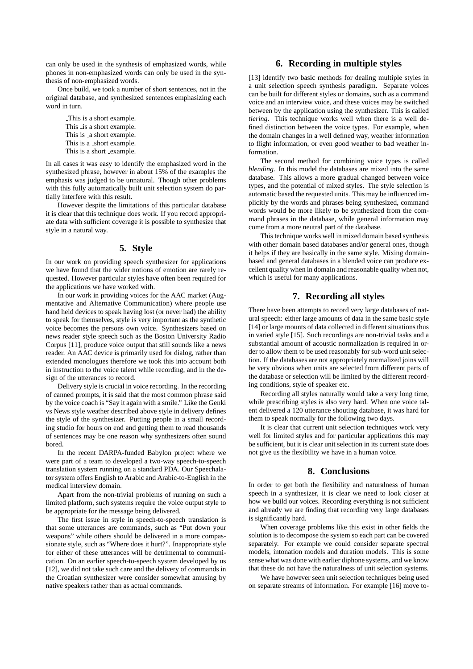can only be used in the synthesis of emphasized words, while phones in non-emphasized words can only be used in the synthesis of non-emphasized words.

Once build, we took a number of short sentences, not in the original database, and synthesized sentences emphasizing each word in turn.

> This is a short example. This is a short example. This is a short example. This is a \_short example. This is a short example.

In all cases it was easy to identify the emphasized word in the synthesized phrase, however in about 15% of the examples the emphasis was judged to be unnatural. Though other problems with this fully automatically built unit selection system do partially interfere with this result.

However despite the limitations of this particular database it is clear that this technique does work. If you record appropriate data with sufficient coverage it is possible to synthesize that style in a natural way.

#### **5. Style**

In our work on providing speech synthesizer for applications we have found that the wider notions of emotion are rarely requested. However particular styles have often been required for the applications we have worked with.

In our work in providing voices for the AAC market (Augmentative and Alternative Communication) where people use hand held devices to speak having lost (or never had) the ability to speak for themselves, style is very important as the synthetic voice becomes the persons own voice. Synthesizers based on news reader style speech such as the Boston University Radio Corpus [11], produce voice output that still sounds like a news reader. An AAC device is primarily used for dialog, rather than extended monologues therefore we took this into account both in instruction to the voice talent while recording, and in the design of the utterances to record.

Delivery style is crucial in voice recording. In the recording of canned prompts, it is said that the most common phrase said by the voice coach is "Say it again with a smile." Like the Genki vs News style weather described above style in delivery defines the style of the synthesizer. Putting people in a small recording studio for hours on end and getting them to read thousands of sentences may be one reason why synthesizers often sound bored.

In the recent DARPA-funded Babylon project where we were part of a team to developed a two-way speech-to-speech translation system running on a standard PDA. Our Speechalator system offers English to Arabic and Arabic-to-English in the medical interview domain.

Apart from the non-trivial problems of running on such a limited platform, such systems require the voice output style to be appropriate for the message being delivered.

The first issue in style in speech-to-speech translation is that some utterances are commands, such as "Put down your weapons" while others should be delivered in a more compassionate style, such as "Where does it hurt?". Inappropriate style for either of these utterances will be detrimental to communication. On an earlier speech-to-speech system developed by us [12], we did not take such care and the delivery of commands in the Croatian synthesizer were consider somewhat amusing by native speakers rather than as actual commands.

## **6. Recording in multiple styles**

[13] identify two basic methods for dealing multiple styles in a unit selection speech synthesis paradigm. Separate voices can be built for different styles or domains, such as a command voice and an interview voice, and these voices may be switched between by the application using the synthesizer. This is called *tiering*. This technique works well when there is a well defined distinction between the voice types. For example, when the domain changes in a well defined way, weather information to flight information, or even good weather to bad weather information.

The second method for combining voice types is called *blending*. In this model the databases are mixed into the same database. This allows a more gradual changed between voice types, and the potential of mixed styles. The style selection is automatic based the requested units. This may be influenced implicitly by the words and phrases being synthesized, command words would be more likely to be synthesized from the command phrases in the database, while general information may come from a more neutral part of the database.

This technique works well in mixed domain based synthesis with other domain based databases and/or general ones, though it helps if they are basically in the same style. Mixing domainbased and general databases in a blended voice can produce excellent quality when in domain and reasonable quality when not, which is useful for many applications.

#### **7. Recording all styles**

There have been attempts to record very large databases of natural speech: either large amounts of data in the same basic style [14] or large mounts of data collected in different situations thus in varied style [15]. Such recordings are non-trivial tasks and a substantial amount of acoustic normalization is required in order to allow them to be used reasonably for sub-word unit selection. If the databases are not appropriately normalized joins will be very obvious when units are selected from different parts of the database or selection will be limited by the different recording conditions, style of speaker etc.

Recording all styles naturally would take a very long time, while prescribing styles is also very hard. When one voice talent delivered a 120 utterance shouting database, it was hard for them to speak normally for the following two days.

It is clear that current unit selection techniques work very well for limited styles and for particular applications this may be sufficient, but it is clear unit selection in its current state does not give us the flexibility we have in a human voice.

## **8. Conclusions**

In order to get both the flexibility and naturalness of human speech in a synthesizer, it is clear we need to look closer at how we build our voices. Recording everything is not sufficient and already we are finding that recording very large databases is significantly hard.

When coverage problems like this exist in other fields the solution is to decompose the system so each part can be covered separately. For example we could consider separate spectral models, intonation models and duration models. This is some sense what was done with earlier diphone systems, and we know that these do not have the naturalness of unit selection systems.

We have however seen unit selection techniques being used on separate streams of information. For example [16] move to